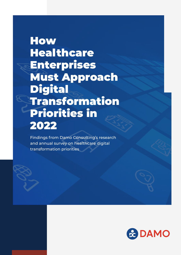## **How** Healthcare Enterprises Must Approach Digital Transformation Priorities in 2022

Findings from Damo Consulting's research and annual survey on healthcare digital transformation priorities

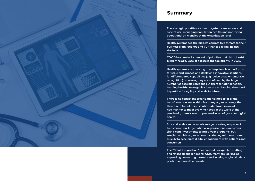**The strategic priorities for health systems are access and ease of use, managing population health, and improving operational efficiencies at the organization level.**

**COVID has created a new set of priorities that did not exist 18 months ago. Ease of access is the top priority in 2022.**

**The "Great Resignation" has created unexpected staffing and retention challenges for CIOs. Many are looking at expanding consulting partners and looking at global talent pools to address their needs.**

**Health systems are investing in enterprise-class platforms for scale and impact, and deploying innovative solutions for differentiated capabilities (e.g., voice-enablement, face recognition). However, they are confused by the large number of possible solutions out there for digital health. Leading healthcare organizations are embracing the cloud to position for agility and scale in future.**

**There is no consistent organizational model for digital transformation leadership. For many organizations, other than a number of point solutions deployed in an ad hoc manner to meet evolving needs in the wake of the pandemic, there is no comprehensive set of goals for digital** 

**Size and scale can be an advantage or a drag on pace of transformation: large national organizations can commit significant investments to multi-year programs, but smaller, nimble organizations can deploy solutions more quickly to accelerate digital engagement with patients and** 



**Health systems see the biggest competitive threats to their business from retailers and VC-financed digital health**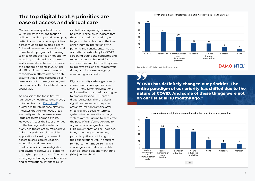



#### **The top digital health priorities are ease of access and virtual care**

Our annual survey of healthcare CIOs\* indicates a strong focus on building mobile apps and developing patient communication capabilities across multiple modalities, closely followed by remote monitoring and home health programs. Improving telehealth adoption is a high priority, especially as telehealth and virtual visit volumes have tapered off since the pandemic heights in 2020. The significant investments in telehealth technology platforms made to date assume that a large percentage of inperson visits for primary and urgent care can be shifted to telehealth or a virtual visit.

An analysis of the top initiatives launched by health systems in 2021, obtained from our DamoIntel™ digital health intelligence platform, indicates that the top focus areas are pretty much the same across large organizations and others. However, AI tops the list of priorities for the leading health systems. Many healthcare organizations have rolled out patient-facing mobile applications focusing on ease of access to care; care navigation, scheduling and reminders, medications, insurance eligibility, and payment gateways are among the high-impact use cases. The use of emerging technologies such as voice and conversational interfaces such

as chatbots is growing. However, healthcare executives indicate that their organizations are still trying to get comfortable around the idea of non-human interactions with patients and constituents. The use of chatbots, particularly for COVID screening during the pandemic and to get patients scheduled for the vaccines, has enabled health systems to improve efficiencies, reduce wait times, and increase savings by eliminating labor costs.

Digital maturity varies significantly across healthcare organizations, even among larger organizations, while smaller organizations struggle to emerge beyond EHR-based digital strategies. There is also a significant impact on the pace of transformation from the aftereffects of large-scale enterprise systems implementations. Many systems are struggling to accelerate the pace of transformation due to organizational fatigue from new EHR implementations or upgrades. Many emerging technologies, particularly AI, are not living up to their expectations yet. The current reimbursement model remains a challenge for virtual care models such as remote patient monitoring (RPM) and telehealth.

#### **"COVID has definitely changed our priorities. The entire paradigm of our priority has shifted due to the nature of COVID. And some of these things were not on our list at all 18 months ago."**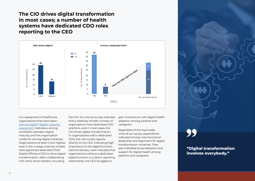#### **The CIO drives digital transformation in most cases; a number of health systems have dedicated CDO roles reporting to the CEO**

**"Digital transformation involves everybody."**

Our assessment of healthcare organizations that have taken Damo's DigiM<sup>™</sup> digital maturity [assessment](http://Damo’s DigiMTM digital maturity assessment) indicates a strong correlation between digital maturity and the organization model for driving digital initiatives. Organizations at level 4 (the highest level in the 4-stage maturity model) have appointed dedicated Chief Digital Officers (CDO) to drive digital transformation, often collaborating with other senior leaders, including



the CIO. Our annual survey indicates that a relatively smaller number of organizations have dedicated CDO positions, and in most cases, the CIO drives digital transformation. In organizations with a dedicated CDO, the role mostly reports directly to the CEO, indicating high importance to the digital function. Damo's advisory work indicates that organizations without a dedicated digital function or a direct reporting relationship, the CEO struggles to

gain momentum with digital health adoption among patients and caregivers.

Regardless of the org model, most of our survey respondents indicated strong cross-functional leadership and alignment for digital transformation initiatives. They also indicated broad adoption and support for digital health among patients and caregivers.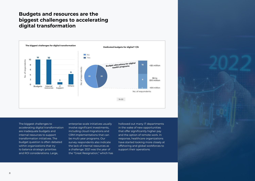

#### **Budgets and resources are the biggest challenges to accelerating digital transformation**



The biggest challenges to accelerating digital transformation are inadequate budgets and internal resources to support transformation initiatives. The budget question is often debated within organizations that try to balance strategic priorities and ROI considerations. Large,

enterprise-scale initiatives usually involve significant investments, including cloud migrations and CRM implementations that can be multi-year programs. Our survey respondents also indicate the lack of internal resources as a challenge. 2021 was the year of the "Great Resignation," which has

hollowed out many IT departments in the wake of new opportunities that offer significantly higher pay and the option of remote work. In response, healthcare organizations have started looking more closely at offshoring and global workforces to support their operations.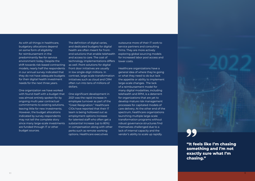**"It feels like I'm chasing something and I'm not exactly sure what I'm chasing."**

As with all things in healthcare, budgetary allocations depend on some form of eligibility for reimbursement in the predominantly fee-for-service environment today. Despite the shift towards risk-based contracting models, nearly half the respondents in our annual survey indicated that they do not have adequate budgets for their digital health investment needs for the next three years.

One organization we have worked with found itself with a budget that was almost entirely spoken for by ongoing multi-year contractual commitments to existing solutions, leaving little for new investments. However, the budget allocations indicated by survey respondents may not tell the complete story since many large-scale investments are funded through IT or other budget sources.

The definition of digital varies, and dedicated budgets for digital health are often meant for frontend solutions that enable telehealth and access to care. The cost of technology implementations differs as well. Point solutions for digital front door initiatives are usually in low single-digit millions. In contrast, large-scale transformation initiatives such as cloud and CRM often run into tens of millions of dollars.

One significant development in 2021 was the rapid increase in employee turnover as part of the "Great Resignation." Healthcare CIOs have reported that their IT team is being hollowed out as employment options increase for talented staff who often get a substantial increase (up to 80%) in compensation along with other perks such as remote working options. Healthcare executives

outsource more of their IT work to service partners and consulting firms. They are more actively exploring global sourcing models for increased labor pool access and lower costs.

Healthcare organizations have a general idea of where they're going or what they need to do but lack the appetite or ability to implement large-scale changes. The lack of a reimbursement model for many digital modalities, including telehealth and RPM, is a deterrent for organizations that are yet to develop mature risk management processes for capitated models of care delivery. At the other end of the spectrum, healthcare organizations launching multiple large-scale transformation programs without robust governance structures find themselves challenged due to a lack of internal capacity and the vendor's ability to scale up rapidly.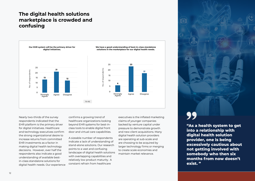### **The digital health solutions marketplace is crowded and confusing**

Nearly two-thirds of the survey respondents indicated that the EHR platform is the primary driver for digital initiatives. Healthcare and technology executives confirm the strong organizational desire to increase returns from committed EHR investments as a factor in making digital health technology decisions. However, over half the respondents also indicate a good understanding of available bestin-class standalone solutions for digital health needs. Our experience confirms a growing trend of healthcare organizations looking beyond EHR systems for best-inclass tools to enable digital front door and virtual care capabilities.



A sizeable number of respondents indicate a lack of understanding of stand-alone solutions. Our research points to a vast and confusing landscape of digital health solutions with overlapping capabilities and relatively low product maturity. A constant refrain from healthcare

executives is the inflated marketing claims of younger companies backed by venture capital under pressure to demonstrate growth and new client acquisitions. Many digital health solution providers are operating at sub-scale and are choosing to be acquired by larger technology firms or merging to create scale economies and maintain market relevance.



**"As a health system to get into a relationship with digital health solution provider, one is being excessively cautious about not getting involved with somebody who then six months from now doesn't exist. "**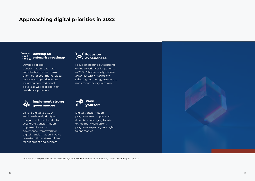#### Implement strong governancee





Develop a digital transformation roadmap and identify the near-term priorities for your marketplace; consider competitive forces including non-traditional players as well as digital-first healthcare providers.



Elevate digital to a CEO and board-level priority and assign a dedicated leader to accelerate transformation. Implement a robust governance framework for digital transformation, involve cross-functional stakeholders for alignment and support.

Focus on creating outstanding online experiences for patients in 2022; "choose wisely, choose carefully" when it comes to selecting technology partners to implement the digital vision.

Digital transformation programs are complex and it can be challenging to take on too many concurrent programs, especially in a tight talent market.

### **Approaching digital priorities in 2022**

#### O-000 Develop an റററ  $\widetilde{\mathsf{C}^\infty_{\mathtt{oo}\mathtt{oo}}}$  enterprise roadmap

\* An online survey of healthcare executives, all CHIME members was conduct by Damo Consulting in Q4 2021.